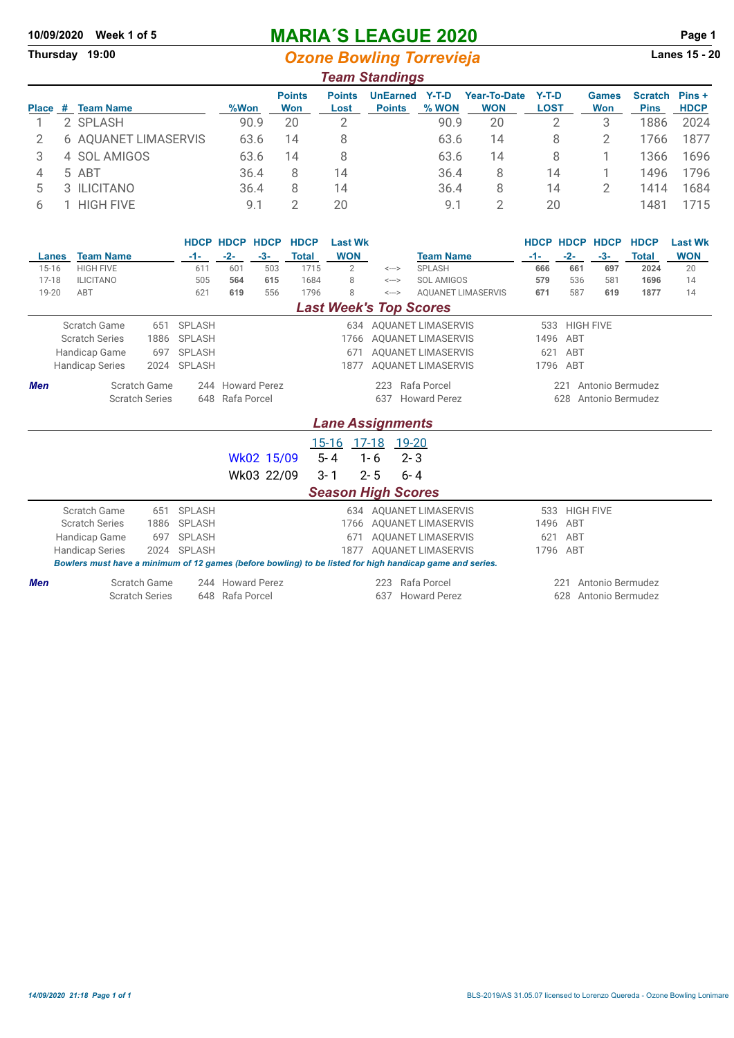# **10/09/2020 Week 1 of 5 MARIA´S LEAGUE 2020 Page 1**

**Ozone Bowling Torrevieja** 

#### *Team Standings* **Points Points UnEarned Y-T-D Year-To-Date Y-T-D Games Scratch Pins + Place** # **Team Name 2 Won Won Lost Points % WON** 1 2 SPLASH 90.9 20 2 90.9 20 2 3 1886 2024 2 6 AQUANET LIMASERVIS 63.6 14 8 63.6 14 8 2 1766 1877 3 4 SOL AMIGOS 63.6 14 8 63.6 14 8 1 1366 1696 4 5 ABT 36.4 8 14 36.4 8 14 1 1496 1796 5 3 ILICITANO 36.4 8 14 36.4 8 14 2 1414 1684

6 1 HIGH FIVE 9.1 2 20 9.1 2 20 1481 1715

|            |                                                                                                          |                       |               | <b>HDCP HDCP HDCP</b> |            | <b>HDCP</b>  | <b>Last Wk</b>                                   |                           |                               |                           |          |                  | <b>HDCP HDCP HDCP</b>   | <b>HDCP</b>  | <b>Last Wk</b> |  |  |  |
|------------|----------------------------------------------------------------------------------------------------------|-----------------------|---------------|-----------------------|------------|--------------|--------------------------------------------------|---------------------------|-------------------------------|---------------------------|----------|------------------|-------------------------|--------------|----------------|--|--|--|
|            | <b>Team Name</b><br>Lanes                                                                                |                       | $-1-$         | $-2-$                 | $-3-$      | <b>Total</b> | <b>WON</b>                                       |                           | <b>Team Name</b>              |                           | $-1-$    | $-2-$            | $-3-$                   | <b>Total</b> | <b>WON</b>     |  |  |  |
| $15 - 16$  | <b>HIGH FIVE</b>                                                                                         |                       | 611           | 601                   | 503        | 1715         | $\overline{2}$                                   | $\leftarrow$              | SPLASH                        |                           | 666      | 661              | 697                     | 2024         | 20             |  |  |  |
| 17-18      | <b>ILICITANO</b>                                                                                         |                       | 505           | 564                   | 615        | 1684         | 8                                                | $\leftarrow$              | SOL AMIGOS                    |                           | 579      | 536              | 581                     | 1696         | 14             |  |  |  |
| 19-20      | ABT                                                                                                      |                       | 621           | 619                   | 556        | 1796         | 8                                                | <--->                     |                               | <b>AQUANET LIMASERVIS</b> | 671      | 587              | 619                     | 1877         | 14             |  |  |  |
|            |                                                                                                          |                       |               |                       |            |              |                                                  |                           | <b>Last Week's Top Scores</b> |                           |          |                  |                         |              |                |  |  |  |
|            | Scratch Game                                                                                             | 651                   | <b>SPLASH</b> |                       |            |              |                                                  |                           | 634 AOUANET LIMASERVIS        |                           | 533      | <b>HIGH FIVE</b> |                         |              |                |  |  |  |
|            | <b>Scratch Series</b>                                                                                    | 1886                  | <b>SPLASH</b> |                       |            |              | 1766                                             |                           | <b>AQUANET LIMASERVIS</b>     |                           | 1496     | ABT              |                         |              |                |  |  |  |
|            | Handicap Game                                                                                            | 697                   | <b>SPLASH</b> |                       |            |              | <b>AOUANET LIMASERVIS</b><br>ABT<br>671<br>621   |                           |                               |                           |          |                  |                         |              |                |  |  |  |
|            | <b>Handicap Series</b>                                                                                   | <b>SPLASH</b>         |               |                       |            | 1877         |                                                  | <b>AQUANET LIMASERVIS</b> |                               |                           | 1796 ABT |                  |                         |              |                |  |  |  |
| <b>Men</b> |                                                                                                          | Scratch Game          |               | 244 Howard Perez      |            |              |                                                  | 223                       | Rafa Porcel                   |                           |          | 221              | Antonio Bermudez        |              |                |  |  |  |
|            |                                                                                                          | <b>Scratch Series</b> | 648           | Rafa Porcel           |            |              | <b>Howard Perez</b><br>637                       |                           |                               |                           |          |                  | 628<br>Antonio Bermudez |              |                |  |  |  |
|            |                                                                                                          |                       |               |                       |            |              |                                                  |                           |                               |                           |          |                  |                         |              |                |  |  |  |
|            | <b>Lane Assignments</b>                                                                                  |                       |               |                       |            |              |                                                  |                           |                               |                           |          |                  |                         |              |                |  |  |  |
|            |                                                                                                          |                       |               |                       |            |              | $15 - 16$                                        |                           | <u>17-18</u> 19-20            |                           |          |                  |                         |              |                |  |  |  |
|            |                                                                                                          |                       |               |                       | Wk02 15/09 |              | $5 - 4$                                          | $1 - 6$                   | $2 - 3$                       |                           |          |                  |                         |              |                |  |  |  |
|            |                                                                                                          |                       |               |                       | Wk03 22/09 |              | $3 - 1$                                          | $2 - 5$                   | $6 - 4$                       |                           |          |                  |                         |              |                |  |  |  |
|            |                                                                                                          |                       |               |                       |            |              |                                                  |                           |                               |                           |          |                  |                         |              |                |  |  |  |
|            |                                                                                                          |                       |               |                       |            |              | <b>Season High Scores</b>                        |                           |                               |                           |          |                  |                         |              |                |  |  |  |
|            | Scratch Game                                                                                             | 651                   | <b>SPLASH</b> |                       |            |              |                                                  |                           | 634 AOUANET LIMASERVIS        |                           | 533      | <b>HIGH FIVE</b> |                         |              |                |  |  |  |
|            | <b>Scratch Series</b>                                                                                    | 1886                  | <b>SPLASH</b> |                       |            |              | 1766                                             |                           | <b>AOUANET LIMASERVIS</b>     |                           | 1496     | ABT              |                         |              |                |  |  |  |
|            | Handicap Game                                                                                            | 697                   | <b>SPLASH</b> |                       |            |              | 671                                              |                           | <b>AOUANET LIMASERVIS</b>     |                           | 621      | ABT              |                         |              |                |  |  |  |
|            | <b>Handicap Series</b>                                                                                   | 2024                  | <b>SPLASH</b> |                       |            |              | <b>AOUANET LIMASERVIS</b><br>1796<br>ABT<br>1877 |                           |                               |                           |          |                  |                         |              |                |  |  |  |
|            | Bowlers must have a minimum of 12 games (before bowling) to be listed for high handicap game and series. |                       |               |                       |            |              |                                                  |                           |                               |                           |          |                  |                         |              |                |  |  |  |
| <b>Men</b> |                                                                                                          | Scratch Game          |               | 244 Howard Perez      |            |              |                                                  | 223                       | Rafa Porcel                   |                           |          | 221              | Antonio Bermudez        |              |                |  |  |  |
|            |                                                                                                          | <b>Scratch Series</b> | 648           | Rafa Porcel           |            |              |                                                  | 637                       | <b>Howard Perez</b>           |                           |          | 628              | Antonio Bermudez        |              |                |  |  |  |
|            |                                                                                                          |                       |               |                       |            |              |                                                  |                           |                               |                           |          |                  |                         |              |                |  |  |  |